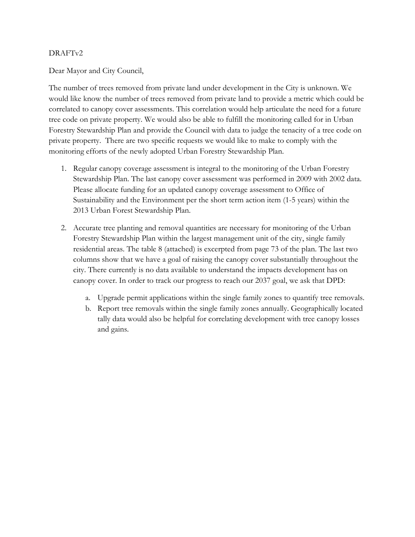## DRAFTv2

Dear Mayor and City Council,

The number of trees removed from private land under development in the City is unknown. We would like know the number of trees removed from private land to provide a metric which could be correlated to canopy cover assessments. This correlation would help articulate the need for a future tree code on private property. We would also be able to fulfill the monitoring called for in Urban Forestry Stewardship Plan and provide the Council with data to judge the tenacity of a tree code on private property. There are two specific requests we would like to make to comply with the monitoring efforts of the newly adopted Urban Forestry Stewardship Plan.

- 1. Regular canopy coverage assessment is integral to the monitoring of the Urban Forestry Stewardship Plan. The last canopy cover assessment was performed in 2009 with 2002 data. Please allocate funding for an updated canopy coverage assessment to Office of Sustainability and the Environment per the short term action item (1-5 years) within the 2013 Urban Forest Stewardship Plan.
- 2. Accurate tree planting and removal quantities are necessary for monitoring of the Urban Forestry Stewardship Plan within the largest management unit of the city, single family residential areas. The table 8 (attached) is excerpted from page 73 of the plan. The last two columns show that we have a goal of raising the canopy cover substantially throughout the city. There currently is no data available to understand the impacts development has on canopy cover. In order to track our progress to reach our 2037 goal, we ask that DPD:
	- a. Upgrade permit applications within the single family zones to quantify tree removals.
	- b. Report tree removals within the single family zones annually. Geographically located tally data would also be helpful for correlating development with tree canopy losses and gains.